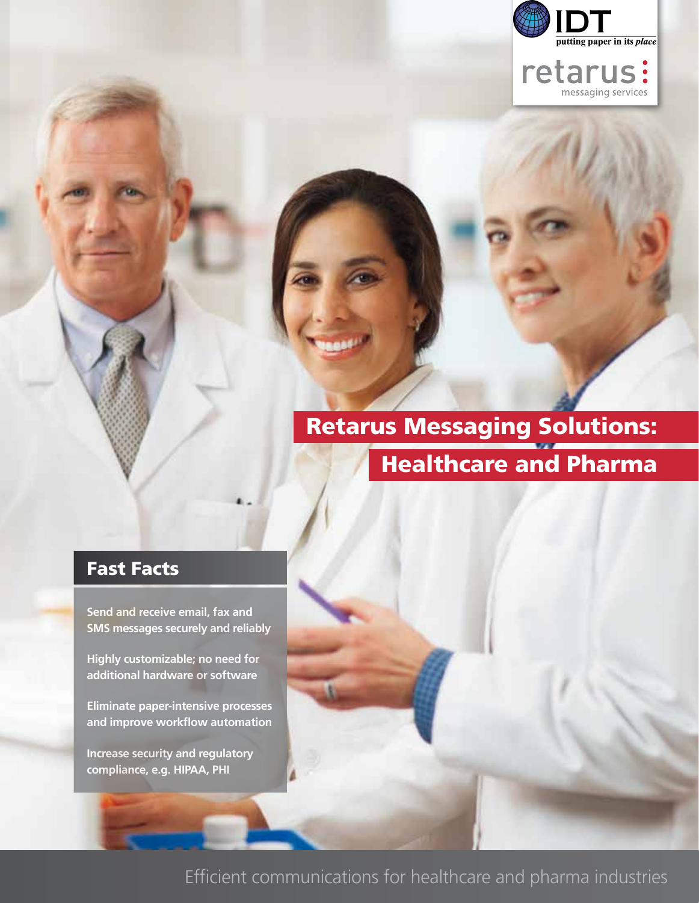

retarus:

# Retarus Messaging Solutions: Healthcare and Pharma

## Fast Facts

**Send and receive email, fax and SMS messages securely and reliably**

**Highly customizable; no need for additional hardware or software**

**Eliminate paper-intensive processes**  and improve workflow automation

**Increase security and regulatory compliance, e.g. HIPAA, PHI**

Efficient communications for healthcare and pharma industries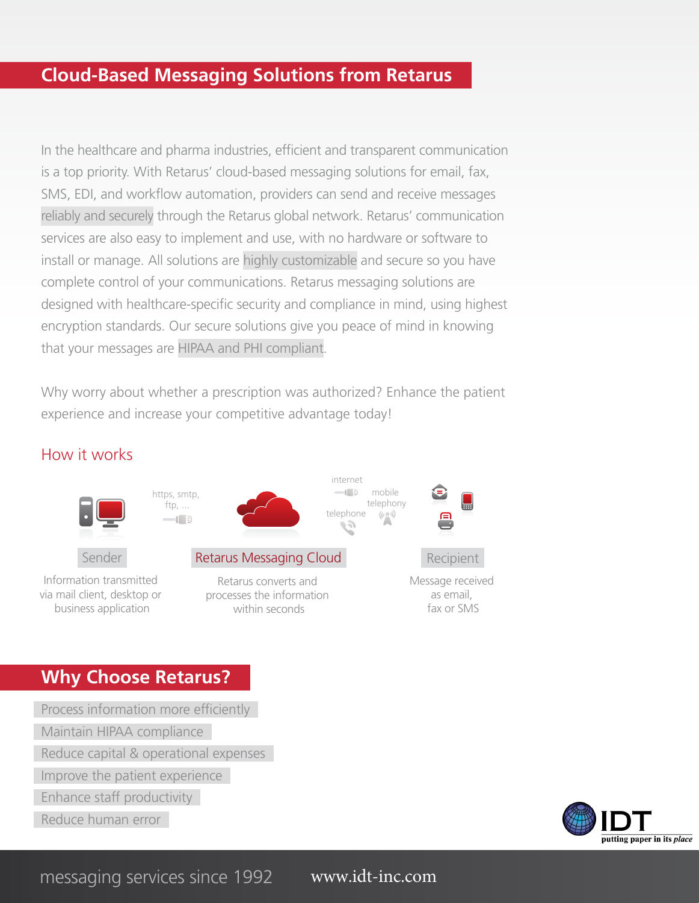## **Cloud-Based Messaging Solutions from Retarus**

In the healthcare and pharma industries, efficient and transparent communication is a top priority. With Retarus' cloud-based messaging solutions for email, fax, SMS, EDI, and workflow automation, providers can send and receive messages reliably and securely through the Retarus global network. Retarus' communication services are also easy to implement and use, with no hardware or software to install or manage. All solutions are highly customizable and secure so you have complete control of your communications. Retarus messaging solutions are designed with healthcare-specific security and compliance in mind, using highest encryption standards. Our secure solutions give you peace of mind in knowing that your messages are HIPAA and PHI compliant.

Why worry about whether a prescription was authorized? Enhance the patient experience and increase your competitive advantage today!

#### How it works



#### **Why Choose Retarus?**

Process information more efficiently

Maintain HIPAA compliance

Reduce capital & operational expenses

Improve the patient experience

Enhance staff productivity

Reduce human error



messaging services since 1992 www.idt-inc.com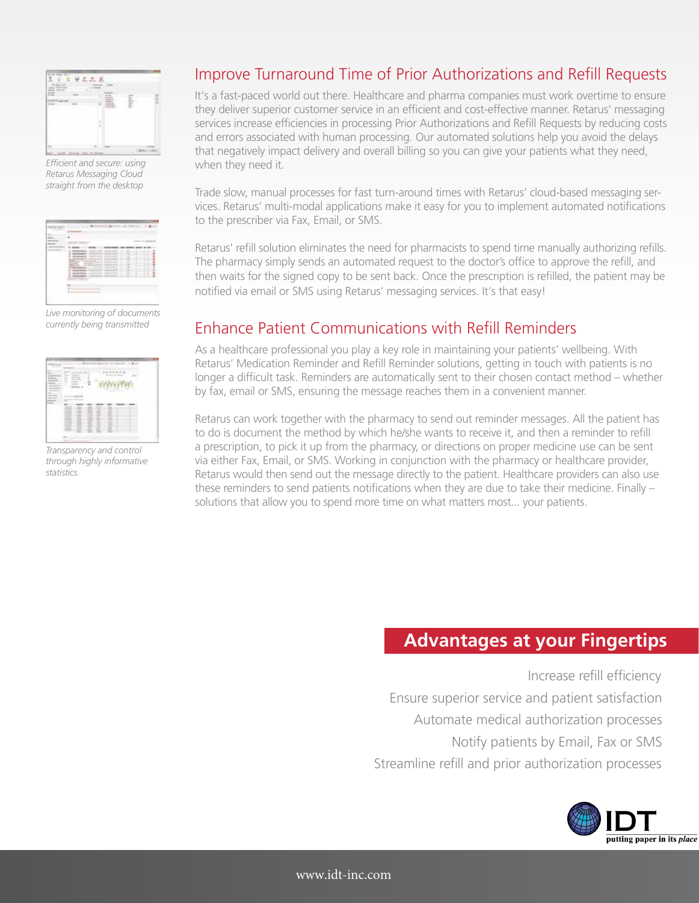

*Efficient and secure: using Retarus Messaging Cloud straight from the desktop*

*Live monitoring of documents currently being transmitted* 



*Transparency and control through highly informative statistics.*

## Improve Turnaround Time of Prior Authorizations and Refill Requests

It's a fast-paced world out there. Healthcare and pharma companies must work overtime to ensure they deliver superior customer service in an efficient and cost-effective manner. Retarus' messaging services increase efficiencies in processing Prior Authorizations and Refill Requests by reducing costs and errors associated with human processing. Our automated solutions help you avoid the delays that negatively impact delivery and overall billing so you can give your patients what they need, when they need it.

Trade slow, manual processes for fast turn-around times with Retarus' cloud-based messaging services. Retarus' multi-modal applications make it easy for you to implement automated notifications to the prescriber via Fax, Email, or SMS.

Retarus' refill solution eliminates the need for pharmacists to spend time manually authorizing refills. The pharmacy simply sends an automated request to the doctor's office to approve the refill, and then waits for the signed copy to be sent back. Once the prescription is refilled, the patient may be notified via email or SMS using Retarus' messaging services. It's that easy!

#### Enhance Patient Communications with Refill Reminders

As a healthcare professional you play a key role in maintaining your patients' wellbeing. With Retarus' Medication Reminder and Refill Reminder solutions, getting in touch with patients is no longer a difficult task. Reminders are automatically sent to their chosen contact method – whether by fax, email or SMS, ensuring the message reaches them in a convenient manner.

Retarus can work together with the pharmacy to send out reminder messages. All the patient has to do is document the method by which he/she wants to receive it, and then a reminder to refill a prescription, to pick it up from the pharmacy, or directions on proper medicine use can be sent via either Fax, Email, or SMS. Working in conjunction with the pharmacy or healthcare provider, Retarus would then send out the message directly to the patient. Healthcare providers can also use these reminders to send patients notifications when they are due to take their medicine. Finally  $$ solutions that allow you to spend more time on what matters most... your patients.

#### **Advantages at your Fingertips**

Increase refill efficiency Ensure superior service and patient satisfaction Automate medical authorization processes Notify patients by Email, Fax or SMS Streamline refill and prior authorization processes